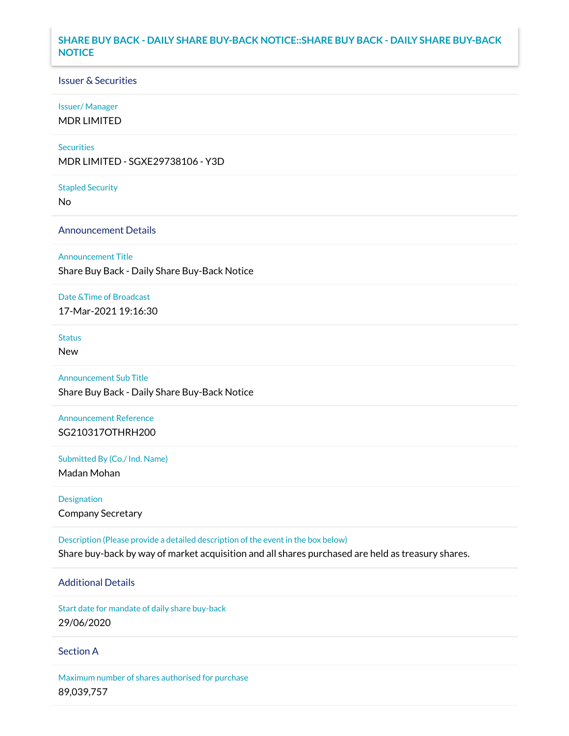## **SHARE BUY BACK - DAILY SHARE BUY-BACK NOTICE::SHARE BUY BACK - DAILY SHARE BUY-BACK NOTICE**

### Issuer & Securities

### Issuer/ Manager

MDR LIMITED

### **Securities**

MDR LIMITED - SGXE29738106 - Y3D

#### Stapled Security

No

## Announcement Details

### Announcement Title

Share Buy Back - Daily Share Buy-Back Notice

### Date &Time of Broadcast

17-Mar-2021 19:16:30

## Status

New

# Announcement Sub Title

Share Buy Back - Daily Share Buy-Back Notice

# Announcement Reference SG210317OTHRH200

Submitted By (Co./ Ind. Name)

Madan Mohan

Designation Company Secretary

Description (Please provide a detailed description of the event in the box below) Share buy-back by way of market acquisition and all shares purchased are held as treasury shares.

# Additional Details

Start date for mandate of daily share buy-back 29/06/2020

### Section A

Maximum number of shares authorised for purchase 89,039,757